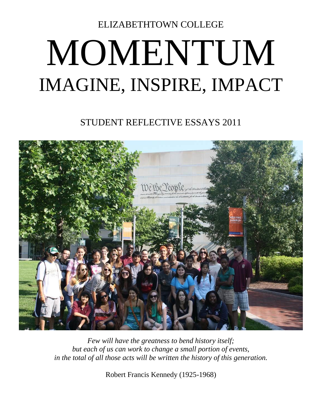ELIZABETHTOWN COLLEGE

# MOMENTUM IMAGINE, INSPIRE, IMPACT

STUDENT REFLECTIVE ESSAYS 2011



*Few will have the greatness to bend history itself; but each of us can work to change a small portion of events, in the total of all those acts will be written the history of this generation.*

Robert Francis Kennedy (1925-1968)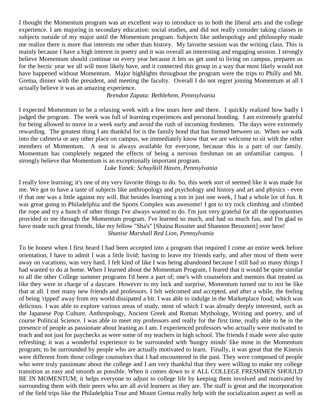I thought the Momentum program was an excellent way to introduce us to both the liberal arts and the college experience. I am majoring in secondary education: social studies, and did not really consider taking classes in subjects outside of my major until the Momentum program. Subjects like anthropology and philosophy made me realize there is more that interests me other than history. My favorite session was the writing class. This is mainly because I have a high interest in poetry and it was overall an interesting and engaging session. I strongly believe Momentum should continue on every year because it lets us get used to living on campus, prepares us for the hectic year we all will most likely have, and it connected this group in a way that most likely would not have happened without Momentum. Major highlights throughout the program were the trips to Philly and Mt. Gretna, dinner with the president, and meeting the faculty. Overall I do not regret joining Momentum at all I actually believe it was an amazing experience.

### *Brendon Zapata: Bethlehem, Pennsylvania*

I expected Momentum to be a relaxing week with a few tours here and there. I quickly realized how badly I judged the program. The week was full of learning experiences and personal bonding. I am extremely grateful for being allowed to move in a week early and avoid the rush of incoming freshmen. The days were extremely rewarding. The greatest thing I am thankful for is the family bond that has formed between us. When we walk into the cafeteria or any other place on campus, we immediately know that we are welcome to sit with the other members of Momentum. A seat is always available for everyone, because this is a part of our family. Momentum has completely negated the effects of being a nervous freshman on an unfamiliar campus. I strongly believe that Momentum is an exceptionally important program.

*Luke Yanek: Schuylkill Haven, Pennsylvania*

I really love learning; it's one of my very favorite things to do. So, this week sort of seemed like it was made for me. We got to have a taste of subjects like anthropology and psychology and history and art and physics - even if that one was a little against my will. But besides learning a ton in just one week, I had a whole lot of fun. It was great going to Philadelphia and the Sports Complex was awesome! I got to try rock climbing and climbed the rope and try a bunch of other things I've always wanted to do. I'm just very grateful for all the opportunities provided to me through the Momentum program. I've learned so much, and had so much fun, and I'm glad to have made such great friends, like my fellow "Sha's" [Shaina Rossiter and Shannon Bessonett] over here! *Shanise Marshall Red Lion, Pennsylvania*

To be honest when I first heard I had been accepted into a program that required I come an entire week before orientation, I have to admit I was a little livid; having to leave my friends early, and after most of them were away on vacations, was very hard. I felt kind of like I was being abandoned because I still had so many things I had wanted to do at home. When I learned about the Momentum Program, I feared that it would be quite similar to all the other College summer programs I'd been a part of; one's with counselors and mentors that treated us like they were in charge of a daycare. However to my luck and surprise, Momentum turned out to not be like that at all. I met many new friends and professors. I felt welcomed and accepted, and after a while, the feeling of being 'ripped' away from my world dissipated a bit. I was able to indulge in the Marketplace food; which was delicious. I was able to explore various areas of study, most of which I was already deeply interested, such as the Japanese Pop Culture, Anthropology, Ancient Greek and Roman Mythology, Writing and poetry, and of course Political Science. I was able to meet my professors and really for the first time, really able to be in the presence of people as passionate about leaning as I am. I experienced professors who actually were motivated to teach and not just for paychecks as were some of my teachers in high school. The friends I made were also quite refreshing; it was a wonderful experience to be surrounded with 'hungry minds' like mine in the Momentum program; to be surrounded by people who are actually motivated to learn. Finally, it was great that the Kinesis were different from those college counselors that I had encountered in the past. They were composed of people who were truly passionate about the college and I am very thankful that they were willing to make my college transition as easy and smooth as possible. When it comes down to it ALL COLLEGE FRESHMEN SHOULD BE IN MOMENTUM; it helps everyone to adjust to college life by keeping them involved and motivated by surrounding them with their peers who are all avid learners as they are. The staff is great and the incorporation of the field trips like the Philadelphia Tour and Mount Gretna really help with the socialization aspect as well as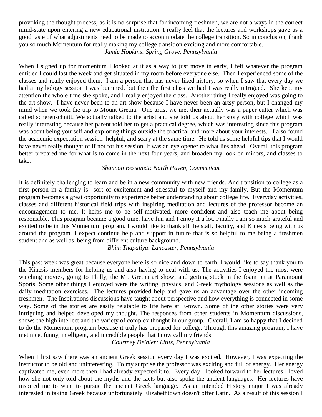provoking the thought process, as it is no surprise that for incoming freshmen, we are not always in the correct mind-state upon entering a new educational institution. I really feel that the lectures and workshops gave us a good taste of what adjustments need to be made to accommodate the college transition. So in conclusion, thank you so much Momentum for really making my college transition exciting and more comfortable. *Jamie Hopkins: Spring Grove, Pennsylvania*

When I signed up for momentum I looked at it as a way to just move in early, I felt whatever the program entitled I could last the week and get situated in my room before everyone else. Then I experienced some of the classes and really enjoyed them. I am a person that has never liked history, so when I saw that every day we had a mythology session I was bummed, but then the first class we had I was really intrigued. She kept my attention the whole time she spoke, and I really enjoyed the class. Another thing I really enjoyed was going to the art show. I have never been to an art show because I have never been an artsy person, but I changed my mind when we took the trip to Mount Gretna. One artist we met their actually was a paper cutter which was called scherenschnitt. We actually talked to the artist and she told us about her story with college which was really interesting because her parent told her to get a practical degree, which was interesting since this program was about being yourself and exploring things outside the practical and more about your interests. I also found the academic expectation session helpful, and scary at the same time. He told us some helpful tips that I would have never really thought of if not for his session, it was an eye opener to what lies ahead. Overall this program better prepared me for what is to come in the next four years, and broaden my look on minors, and classes to take.

### *Shannon Bessonett: North Haven, Connecticut*

It is definitely challenging to learn and be in a new community with new friends. And transition to college as a first person in a family is sort of excitement and stressful to myself and my family. But the Momentum program becomes a great opportunity to experience better understanding about college life. Everyday activities, classes and different historical field trips with inspiring meditation and lectures of the professor become an encouragement to me. It helps me to be self-motivated, more confident and also teach me about being responsible. This program became a good time, have fun and I enjoy it a lot. Finally I am so much grateful and excited to be in this Momentum program. I would like to thank all the staff, faculty, and Kinesis being with us around the program. I expect continue help and support in future that is so helpful to me being a freshmen student and as well as being from different culture background.

*Bhim Thapaliya: Lancaster, Pennsylvania*

This past week was great because everyone here is so nice and down to earth. I would like to say thank you to the Kinesis members for helping us and also having to deal with us. The activities I enjoyed the most were watching movies, going to Philly, the Mt. Gretna art show, and getting stuck in the foam pit at Paramount Sports. Some other things I enjoyed were the writing, physics, and Greek mythology sessions as well as the daily meditation exercises. The lectures provided help and gave us an advantage over the other incoming freshmen. The Inspirations discussions have taught about perspective and how everything is connected in some way. Some of the stories are easily relatable to life here at E-town. Some of the other stories were very intriguing and helped developed my thought. The responses from other students in Momentum discussions, shows the high intellect and the variety of complex thought in our group. Overall, I am so happy that I decided to do the Momentum program because it truly has prepared for college. Through this amazing program, I have met nice, funny, intelligent, and incredible people that I now call my friends.

*Courtney Deibler: Lititz, Pennsylvania*

When I first saw there was an ancient Greek session every day I was excited. However, I was expecting the instructor to be old and uninteresting. To my surprise the professor was exciting and full of energy. Her energy captivated me, even more then I had already expected it to. Every day I looked forward to her lectures I loved how she not only told about the myths and the facts but also spoke the ancient languages. Her lectures have inspired me to want to pursue the ancient Greek language. As an intended History major I was already interested in taking Greek because unfortunately Elizabethtown doesn't offer Latin. As a result of this session I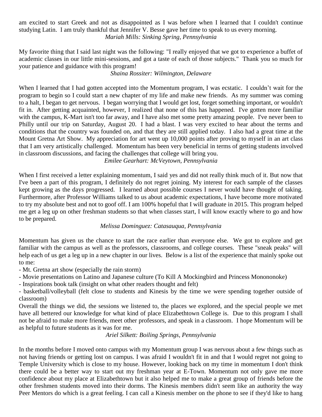am excited to start Greek and not as disappointed as I was before when I learned that I couldn't continue studying Latin. I am truly thankful that Jennifer V. Besse gave her time to speak to us every morning. *Mariah Mills: Sinking Spring, Pennsylvania*

My favorite thing that I said last night was the following: "I really enjoyed that we got to experience a buffet of academic classes in our little mini-sessions, and got a taste of each of those subjects." Thank you so much for your patience and guidance with this program!

# *Shaina Rossiter: Wilmington, Delaware*

When I learned that I had gotten accepted into the Momentum program, I was ecstatic. I couldn't wait for the program to begin so I could start a new chapter of my life and make new friends. As my summer was coming to a halt, I began to get nervous. I began worrying that I would get lost, forget something important, or wouldn't fit in. After getting acquainted, however, I realized that none of this has happened. I've gotten more familiar with the campus, K-Mart isn't too far away, and I have also met some pretty amazing people. I've never been to Philly until our trip on Saturday, August 20. I had a blast. I was very excited to hear about the terms and conditions that the country was founded on, and that they are still applied today. I also had a great time at the Mount Gretna Art Show. My appreciation for art went up 10,000 points after proving to myself in an art class that I am very artistically challenged. Momentum has been very beneficial in terms of getting students involved in classroom discussions, and facing the challenges that college will bring you.

*Emilee Gearhart: McVeytown, Pennsylvania*

When I first received a letter explaining momentum, I said yes and did not really think much of it. But now that I've been a part of this program, I definitely do not regret joining. My interest for each sample of the classes kept growing as the days progressed. I learned about possible courses I never would have thought of taking. Furthermore, after Professor Williams talked to us about academic expectations, I have become more motivated to try my absolute best and not to goof off. I am 100% hopeful that I will graduate in 2015. This program helped me get a leg up on other freshman students so that when classes start, I will know exactly where to go and how to be prepared.

# *Melissa Dominguez: Catasauqua, Pennsylvania*

Momentum has given us the chance to start the race earlier than everyone else. We got to explore and get familiar with the campus as well as the professors, classrooms, and college courses. These "sneak peaks" will help each of us get a leg up in a new chapter in our lives. Below is a list of the experience that mainly spoke out to me:

- Mt. Gretna art show (especially the rain storm)

- Movie presentations on Latino and Japanese culture (To Kill A Mockingbird and Princess Monononoke)

- Inspirations book talk (insight on what other readers thought and felt)

- basketball/volleyball (felt close to students and Kinesis by the time we were spending together outside of classroom)

Overall the things we did, the sessions we listened to, the places we explored, and the special people we met have all bettered our knowledge for what kind of place Elizabethtown College is. Due to this program I shall not be afraid to make more friends, meet other professors, and speak in a classroom. I hope Momentum will be as helpful to future students as it was for me.

*Ariel Silkett: Boiling Springs, Pennsylvania*

In the months before I moved onto campus with my Momentum group I was nervous about a few things such as not having friends or getting lost on campus. I was afraid I wouldn't fit in and that I would regret not going to Temple University which is close to my house. However, looking back on my time in momentum I don't think there could be a better way to start out my freshman year at E-Town. Momentum not only gave me more confidence about my place at Elizabethtown but it also helped me to make a great group of friends before the other freshmen students moved into their dorms. The Kinesis members didn't seem like an authority the way Peer Mentors do which is a great feeling. I can call a Kinesis member on the phone to see if they'd like to hang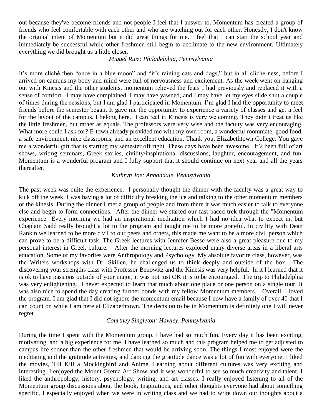out because they've become friends and not people I feel that I answer to. Momentum has created a group of friends who feel comfortable with each other and who are watching out for each other. Honestly, I don't know the original intent of Momentum but it did great things for me. I feel that I can start the school year and immediately be successful while other freshmen still begin to acclimate to the new environment. Ultimately everything we did brought us a little closer.

## *Miguel Ruiz: Philadelphia, Pennsylvania*

It's more cliché then "once in a blue moon" and "it's raining cats and dogs," but in all cliché-ness, before I arrived on campus my body and mind were full of nervousness and excitement. As the week went on hanging out with Kinesis and the other students, momentum relieved the fears I had previously and replaced it with a sense of comfort. I may have complained. I may have yawned, and I may have let my eyes slide shut a couple of times during the sessions, but I am glad I participated in Momentum. I'm glad I had the opportunity to meet friends before the semester began. It gave me the opportunity to experience a variety of classes and get a feel for the layout of the campus. I belong here. I can feel it. Kinesis is very welcoming. They didn't treat us like the little freshmen, but rather as equals. The professors were very wise and the faculty was very encouraging. What more could I ask for? E-town already provided me with my own room, a wonderful roommate, good food, a safe environment, nice classrooms, and an excellent education. Thank you, Elizabethtown College. You gave me a wonderful gift that is starting my semester off right. These days have been awesome. It's been full of art shows, writing seminars, Greek stories, civility/inspirational discussions, laughter, encouragement, and fun. Momentum is a wonderful program and I fully support that it should continue on next year and all the years thereafter.

### *Kathryn Joe: Annandale, Pennsylvania*

The past week was quite the experience. I personally thought the dinner with the faculty was a great way to kick off the week. I was having a lot of difficulty breaking the ice and talking to the other momentum members or the kinesis. During the dinner I met a group of people and from there it was much easier to talk to everyone else and begin to form connections. After the dinner we started our fast paced trek through the "Momentum experience" Every morning we had an inspirational meditation which I had no idea what to expect in, but Chaplain Sadd really brought a lot to the program and taught me to be more grateful. In civility with Dean Rankin we learned to be more civil to our peers and others, this made me want to be a more civil person which can prove to be a difficult task. The Greek lectures with Jennifer Besse were also a great pleasure due to my personal interest in Greek culture. After the morning lectures explored many diverse areas in a liberal arts education. Some of my favorites were Anthropology and Psychology. My absolute favorite class, however, was the Writers workshops with Dr. Skillen, he challenged us to think deeply and outside of the box. The discovering your strengths class with Professor Benowitz and the Kinesis was very helpful. In it I learned that it is ok to have passions outside of your major, it was not just OK it is to be encouraged. The trip to Philadelphia was very enlightening. I never expected to learn that much about one place or one person on a single tour. It was also nice to spend the day creating further bonds with my fellow Momentum members. Overall, I loved the program. I am glad that I did not ignore the momentum email because I now have a family of over 40 that I can count on while I am here at Elizabethtown. The decision to be in Momentum is definitely one I will never regret.

### *Courtney Singleton: Hawley, Pennsylvania*

During the time I spent with the Momentum group. I have had so much fun. Every day it has been exciting, motivating, and a big experience for me. I have learned so much and this program helped me to get adjusted to campus life sooner than the other freshmen that would be arriving soon. The things I most enjoyed were the meditating and the gratitude activities, and dancing the gratitude dance was a lot of fun with everyone. I liked the movies, Till Kill a Mockingbird and Anime. Learning about different cultures was very exciting and interesting. I enjoyed the Mount Gretna Art Show and it was wonderful to see so much creativity and talent. I liked the anthropology, history, psychology, writing, and art classes. I really enjoyed listening to all of the Momentum group discussions about the book, Inspirations, and other thoughts everyone had about something specific, I especially enjoyed when we were in writing class and we had to write down our thoughts about a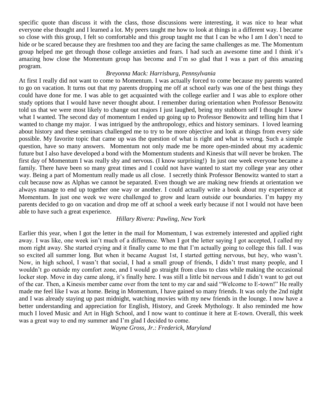specific quote than discuss it with the class, those discussions were interesting, it was nice to hear what everyone else thought and I learned a lot. My peers taught me how to look at things in a different way. I became so close with this group, I felt so comfortable and this group taught me that I can be who I am I don't need to hide or be scared because they are freshmen too and they are facing the same challenges as me. The Momentum group helped me get through those college anxieties and fears. I had such an awesome time and I think it's amazing how close the Momentum group has become and I'm so glad that I was a part of this amazing program.

### *Breyonna Mack: Harrisburg, Pennsylvania*

At first I really did not want to come to Momentum. I was actually forced to come because my parents wanted to go on vacation. It turns out that my parents dropping me off at school early was one of the best things they could have done for me. I was able to get acquainted with the college earlier and I was able to explore other study options that I would have never thought about. I remember during orientation when Professor Benowitz told us that we were most likely to change out majors I just laughed, being my stubborn self I thought I knew what I wanted. The second day of momentum I ended up going up to Professor Benowitz and telling him that I wanted to change my major. I was intrigued by the anthropology, ethics and history seminars. I loved learning about history and these seminars challenged me to try to be more objective and look at things from every side possible. My favorite topic that came up was the question of what is right and what is wrong. Such a simple question, have so many answers. Momentum not only made me be more open-minded about my academic future but I also have developed a bond with the Momentum students and Kinesis that will never be broken. The first day of Momentum I was really shy and nervous. (I know surprising!) In just one week everyone became a family. There have been so many great times and I could not have wanted to start my college year any other way. Being a part of Momentum really made us all close. I secretly think Professor Benowitz wanted to start a cult because now as Alphas we cannot be separated. Even though we are making new friends at orientation we always manage to end up together one way or another. I could actually write a book about my experience at Momentum. In just one week we were challenged to grow and learn outside our boundaries. I'm happy my parents decided to go on vacation and drop me off at school a week early because if not I would not have been able to have such a great experience.

### *Hillary Rivera: Pawling, New York*

Earlier this year, when I got the letter in the mail for Momentum, I was extremely interested and applied right away. I was like, one week isn't much of a difference. When I got the letter saying I got accepted, I called my mom right away. She started crying and it finally came to me that I'm actually going to college this fall. I was so excited all summer long. But when it became August 1st, I started getting nervous, but hey, who wasn't. Now, in high school, I wasn't that social, I had a small group of friends, I didn't trust many people, and I wouldn't go outside my comfort zone, and I would go straight from class to class while making the occasional locker stop. Move in day came along, it's finally here. I was still a little bit nervous and I didn't want to get out of the car. Then, a Kinesis member came over from the tent to my car and said "Welcome to E-town!" He really made me feel like I was at home. Being in Momentum, I have gained so many friends. It was only the 2nd night and I was already staying up past midnight, watching movies with my new friends in the lounge. I now have a better understanding and appreciation for English, History, and Greek Mythology. It also reminded me how much I loved Music and Art in High School, and I now want to continue it here at E-town. Overall, this week was a great way to end my summer and I'm glad I decided to come.

*Wayne Gross, Jr.: Frederick, Maryland*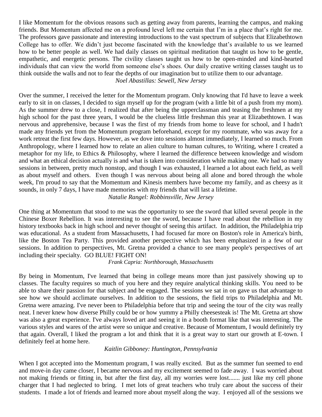I like Momentum for the obvious reasons such as getting away from parents, learning the campus, and making friends. But Momentum affected me on a profound level left me certain that I'm in a place that's right for me. The professors gave passionate and interesting introductions to the vast spectrum of subjects that Elizabethtown College has to offer. We didn't just become fascinated with the knowledge that's available to us we learned how to be better people as well. We had daily classes on spiritual meditation that taught us how to be gentle, empathetic, and energetic persons. The civility classes taught us how to be open-minded and kind-hearted individuals that can view the world from someone else's shoes. Our daily creative writing classes taught us to think outside the walls and not to fear the depths of our imagination but to utilize them to our advantage. *Noel Abastillas: Sewell, New Jersey*

Over the summer, I received the letter for the Momentum program. Only knowing that I'd have to leave a week early to sit in on classes, I decided to sign myself up for the program (with a little bit of a push from my mom). As the summer drew to a close, I realized that after being the upperclassman and teasing the freshmen at my high school for the past three years, I would be the clueless little freshman this year at Elizabethtown. I was nervous and apprehensive, because I was the first of my friends from home to leave for school, and I hadn't made any friends yet from the Momentum program beforehand, except for my roommate, who was away for a work retreat the first few days. However, as we dove into sessions almost immediately, I learned so much. From Anthropology, where I learned how to relate an alien culture to human cultures, to Writing, where I created a metaphor for my life, to Ethics & Philosophy, where I learned the difference between knowledge and wisdom and what an ethical decision actually is and what is taken into consideration while making one. We had so many sessions in between, pretty much nonstop, and though I was exhausted, I learned a lot about each field, as well as about myself and others. Even though I was nervous about being all alone and bored through the whole week, I'm proud to say that the Momentum and Kinesis members have become my family, and as cheesy as it sounds, in only 7 days, I have made memories with my friends that will last a lifetime.

*Natalie Rangel: Robbinsville, New Jersey*

One thing at Momentum that stood to me was the opportunity to see the sword that killed several people in the Chinese Boxer Rebellion. It was interesting to see the sword, because I have read about the rebellion in my history textbooks back in high school and never thought of seeing this artifact. In addition, the Philadelphia trip was educational. As a student from Massachusetts, I had focused far more on Boston's role in America's birth, like the Boston Tea Party. This provided another perspective which has been emphasized in a few of our sessions. In addition to perspectives, Mt. Gretna provided a chance to see many people's perspectives of art including their specialty. GO BLUE! FIGHT ON!

*Frank Capria: Northborough, Massachusetts*

By being in Momentum, I've learned that being in college means more than just passively showing up to classes. The faculty requires so much of you here and they require analytical thinking skills. You need to be able to share their passion for that subject and be engaged. The sessions we sat in on gave us that advantage to see how we should acclimate ourselves. In addition to the sessions, the field trips to Philadelphia and Mt. Gretna were amazing. I've never been to Philadelphia before that trip and seeing the tour of the city was really neat. I never knew how diverse Philly could be or how yummy a Philly cheesesteak is! The Mt. Gretna art show was also a great experience. I've always loved art and seeing it in a booth format like that was interesting. The various styles and wares of the artist were so unique and creative. Because of Momentum, I would definitely try that again. Overall, I liked the program a lot and think that it is a great way to start our growth at E-town. I definitely feel at home here.

# *Kaitlin Gibboney: Huntington, Pennsylvania*

When I got accepted into the Momentum program, I was really excited. But as the summer fun seemed to end and move-in day came closer, I became nervous and my excitement seemed to fade away. I was worried about not making friends or fitting in, but after the first day, all my worries were lost....... just like my cell phone charger that I had neglected to bring. I met lots of great teachers who truly care about the success of their students. I made a lot of friends and learned more about myself along the way. I enjoyed all of the sessions we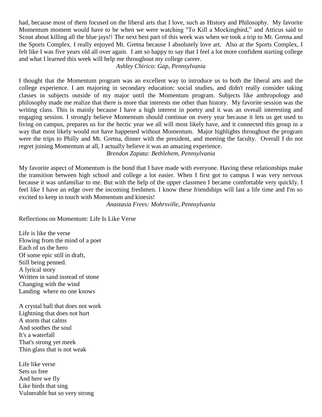had, because most of them focused on the liberal arts that I love, such as History and Philosophy. My favorite Momentum moment would have to be when we were watching "To Kill a Mockingbird," and Atticus said to Scout about killing all the blue jays!! The next best part of this week was when we took a trip to Mt. Gretna and the Sports Complex. I really enjoyed Mt. Gretna because I absolutely love art. Also at the Sports Complex, I felt like I was five years old all over again. I am so happy to say that I feel a lot more confident starting college and what I learned this week will help me throughout my college career.

### *Ashley Chirico: Gap, Pennsylvania*

I thought that the Momentum program was an excellent way to introduce us to both the liberal arts and the college experience. I am majoring in secondary education: social studies, and didn't really consider taking classes in subjects outside of my major until the Momentum program. Subjects like anthropology and philosophy made me realize that there is more that interests me other than history. My favorite session was the writing class. This is mainly because I have a high interest in poetry and it was an overall interesting and engaging session. I strongly believe Momentum should continue on every year because it lets us get used to living on campus, prepares us for the hectic year we all will most likely have, and it connected this group in a way that most likely would not have happened without Momentum. Major highlights throughout the program were the trips to Philly and Mt. Gretna, dinner with the president, and meeting the faculty. Overall I do not regret joining Momentum at all, I actually believe it was an amazing experience.

*Brendon Zapata: Bethlehem, Pennsylvania*

My favorite aspect of Momentum is the bond that I have made with everyone. Having these relationships make the transition between high school and college a lot easier. When I first got to campus I was very nervous because it was unfamiliar to me. But with the help of the upper classmen I became comfortable very quickly. I feel like I have an edge over the incoming freshmen. I know these friendships will last a life time and I'm so excited to keep in touch with Momentum and kinesis!

*Anastasia Frees: Mohrsville, Pennsylvania*

Reflections on Momentum: Life Is Like Verse

Life is like the verse Flowing from the mind of a poet Each of us the hero Of some epic still in draft, Still being penned. A lyrical story Written in sand instead of stone Changing with the wind Landing where no one knows

A crystal ball that does not work Lightning that does not hurt A storm that calms And soothes the soul It's a waterfall That's strong yet meek Thin glass that is not weak

Life like verse Sets us free And here we fly Like birds that sing Vulnerable but so very strong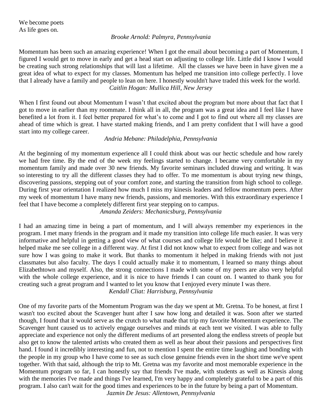# *Brooke Arnold: Palmyra, Pennsylvania*

Momentum has been such an amazing experience! When I got the email about becoming a part of Momentum, I figured I would get to move in early and get a head start on adjusting to college life. Little did I know I would be creating such strong relationships that will last a lifetime. All the classes we have been in have given me a great idea of what to expect for my classes. Momentum has helped me transition into college perfectly. I love that I already have a family and people to lean on here. I honestly wouldn't have traded this week for the world. *Caitlin Hogan: Mullica Hill, New Jersey*

When I first found out about Momentum I wasn't that excited about the program but more about that fact that I got to move in earlier than my roommate. I think all in all, the program was a great idea and I feel like I have benefited a lot from it. I feel better prepared for what's to come and I got to find out where all my classes are ahead of time which is great. I have started making friends, and I am pretty confident that I will have a good start into my college career.

# *Andria Mebane: Philadelphia, Pennsylvania*

At the beginning of my momentum experience all I could think about was our hectic schedule and how rarely we had free time. By the end of the week my feelings started to change. I became very comfortable in my momentum family and made over 30 new friends. My favorite seminars included drawing and writing. It was so interesting to try all the different classes they had to offer. To me momentum is about trying new things, discovering passions, stepping out of your comfort zone, and starting the transition from high school to college. During first year orientation I realized how much I miss my kinesis leaders and fellow momentum peers. After my week of momentum I have many new friends, passions, and memories. With this extraordinary experience I feel that I have become a completely different first year stepping on to campus.

# *Amanda Zeiders: Mechanicsburg, Pennsylvania*

I had an amazing time in being a part of momentum, and I will always remember my experiences in the program. I met many friends in the program and it made my transition into college life much easier. It was very informative and helpful in getting a good view of what courses and college life would be like; and I believe it helped make me see college in a different way. At first I did not know what to expect from college and was not sure how I was going to make it work. But thanks to momentum it helped in making friends with not just classmates but also faculty. The days I could actually make it to momentum, I learned so many things about Elizabethtown and myself. Also, the strong connections I made with some of my peers are also very helpful with the whole college experience, and it is nice to have friends I can count on. I wanted to thank you for creating such a great program and I wanted to let you know that I enjoyed every minute I was there.

*Kendall Cliat: Harrisburg, Pennsylvania*

One of my favorite parts of the Momentum Program was the day we spent at Mt. Gretna. To be honest, at first I wasn't too excited about the Scavenger hunt after I saw how long and detailed it was. Soon after we started though, I found that it would serve as the crutch to what made that trip my favorite Momentum experience. The Scavenger hunt caused us to actively engage ourselves and minds at each tent we visited. I was able to fully appreciate and experience not only the different mediums of art presented along the endless streets of people but also get to know the talented artists who created them as well as hear about their passions and perspectives first hand. I found it incredibly interesting and fun, not to mention I spent the entire time laughing and bonding with the people in my group who I have come to see as such close genuine friends even in the short time we've spent together. With that said, although the trip to Mt. Gretna was my favorite and most memorable experience in the Momentum program so far, I can honestly say that friends I've made, with students as well as Kinesis along with the memories I've made and things I've learned, I'm very happy and completely grateful to be a part of this program. I also can't wait for the good times and experiences to be in the future by being a part of Momentum.

*Jazmin De Jesus: Allentown, Pennsylvania*